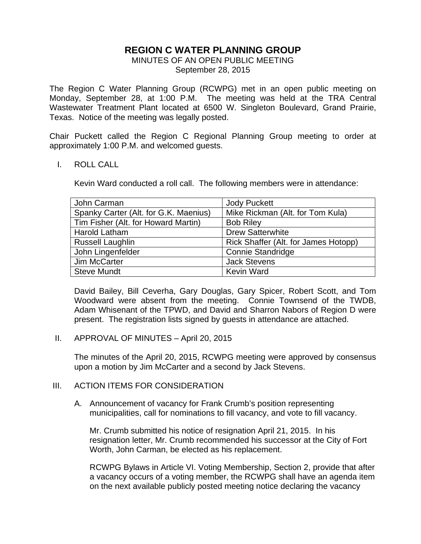# **REGION C WATER PLANNING GROUP**

MINUTES OF AN OPEN PUBLIC MEETING September 28, 2015

The Region C Water Planning Group (RCWPG) met in an open public meeting on Monday, September 28, at 1:00 P.M. The meeting was held at the TRA Central Wastewater Treatment Plant located at 6500 W. Singleton Boulevard, Grand Prairie, Texas. Notice of the meeting was legally posted.

Chair Puckett called the Region C Regional Planning Group meeting to order at approximately 1:00 P.M. and welcomed guests.

#### I. ROLL CALL

Kevin Ward conducted a roll call. The following members were in attendance:

| John Carman                           | <b>Jody Puckett</b>                  |
|---------------------------------------|--------------------------------------|
| Spanky Carter (Alt. for G.K. Maenius) | Mike Rickman (Alt. for Tom Kula)     |
| Tim Fisher (Alt. for Howard Martin)   | <b>Bob Riley</b>                     |
| <b>Harold Latham</b>                  | <b>Drew Satterwhite</b>              |
| <b>Russell Laughlin</b>               | Rick Shaffer (Alt. for James Hotopp) |
| John Lingenfelder                     | <b>Connie Standridge</b>             |
| Jim McCarter                          | <b>Jack Stevens</b>                  |
| <b>Steve Mundt</b>                    | <b>Kevin Ward</b>                    |

David Bailey, Bill Ceverha, Gary Douglas, Gary Spicer, Robert Scott, and Tom Woodward were absent from the meeting. Connie Townsend of the TWDB, Adam Whisenant of the TPWD, and David and Sharron Nabors of Region D were present. The registration lists signed by guests in attendance are attached.

II. APPROVAL OF MINUTES – April 20, 2015

The minutes of the April 20, 2015, RCWPG meeting were approved by consensus upon a motion by Jim McCarter and a second by Jack Stevens.

#### III. ACTION ITEMS FOR CONSIDERATION

A. Announcement of vacancy for Frank Crumb's position representing municipalities, call for nominations to fill vacancy, and vote to fill vacancy.

Mr. Crumb submitted his notice of resignation April 21, 2015. In his resignation letter, Mr. Crumb recommended his successor at the City of Fort Worth, John Carman, be elected as his replacement.

RCWPG Bylaws in Article VI. Voting Membership, Section 2, provide that after a vacancy occurs of a voting member, the RCWPG shall have an agenda item on the next available publicly posted meeting notice declaring the vacancy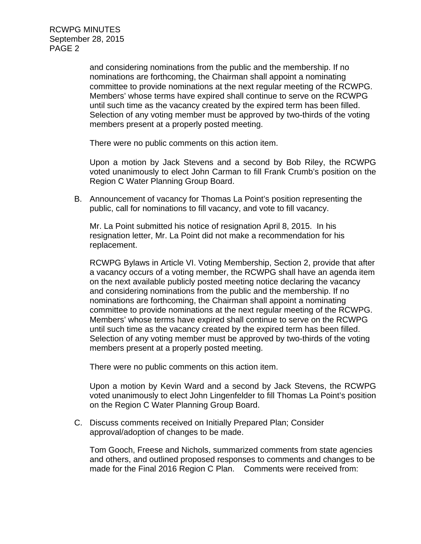> and considering nominations from the public and the membership. If no nominations are forthcoming, the Chairman shall appoint a nominating committee to provide nominations at the next regular meeting of the RCWPG. Members' whose terms have expired shall continue to serve on the RCWPG until such time as the vacancy created by the expired term has been filled. Selection of any voting member must be approved by two-thirds of the voting members present at a properly posted meeting.

There were no public comments on this action item.

Upon a motion by Jack Stevens and a second by Bob Riley, the RCWPG voted unanimously to elect John Carman to fill Frank Crumb's position on the Region C Water Planning Group Board.

B. Announcement of vacancy for Thomas La Point's position representing the public, call for nominations to fill vacancy, and vote to fill vacancy.

Mr. La Point submitted his notice of resignation April 8, 2015. In his resignation letter, Mr. La Point did not make a recommendation for his replacement.

RCWPG Bylaws in Article VI. Voting Membership, Section 2, provide that after a vacancy occurs of a voting member, the RCWPG shall have an agenda item on the next available publicly posted meeting notice declaring the vacancy and considering nominations from the public and the membership. If no nominations are forthcoming, the Chairman shall appoint a nominating committee to provide nominations at the next regular meeting of the RCWPG. Members' whose terms have expired shall continue to serve on the RCWPG until such time as the vacancy created by the expired term has been filled. Selection of any voting member must be approved by two-thirds of the voting members present at a properly posted meeting.

There were no public comments on this action item.

Upon a motion by Kevin Ward and a second by Jack Stevens, the RCWPG voted unanimously to elect John Lingenfelder to fill Thomas La Point's position on the Region C Water Planning Group Board.

C. Discuss comments received on Initially Prepared Plan; Consider approval/adoption of changes to be made.

Tom Gooch, Freese and Nichols, summarized comments from state agencies and others, and outlined proposed responses to comments and changes to be made for the Final 2016 Region C Plan. Comments were received from: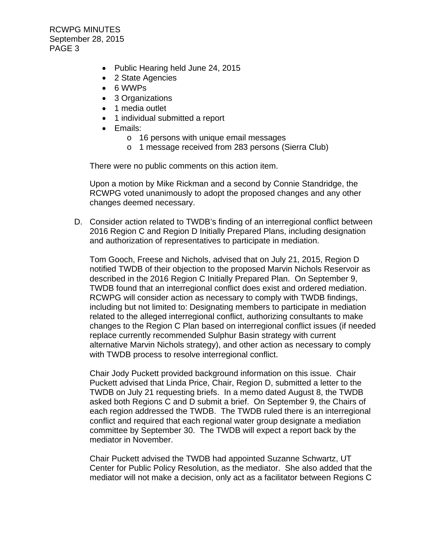- Public Hearing held June 24, 2015
- 2 State Agencies
- 6 WWPs
- 3 Organizations
- 1 media outlet
- 1 individual submitted a report
- Emails:
	- o 16 persons with unique email messages
	- o 1 message received from 283 persons (Sierra Club)

There were no public comments on this action item.

Upon a motion by Mike Rickman and a second by Connie Standridge, the RCWPG voted unanimously to adopt the proposed changes and any other changes deemed necessary.

D. Consider action related to TWDB's finding of an interregional conflict between 2016 Region C and Region D Initially Prepared Plans, including designation and authorization of representatives to participate in mediation.

Tom Gooch, Freese and Nichols, advised that on July 21, 2015, Region D notified TWDB of their objection to the proposed Marvin Nichols Reservoir as described in the 2016 Region C Initially Prepared Plan. On September 9, TWDB found that an interregional conflict does exist and ordered mediation. RCWPG will consider action as necessary to comply with TWDB findings, including but not limited to: Designating members to participate in mediation related to the alleged interregional conflict, authorizing consultants to make changes to the Region C Plan based on interregional conflict issues (if needed replace currently recommended Sulphur Basin strategy with current alternative Marvin Nichols strategy), and other action as necessary to comply with TWDB process to resolve interregional conflict.

Chair Jody Puckett provided background information on this issue. Chair Puckett advised that Linda Price, Chair, Region D, submitted a letter to the TWDB on July 21 requesting briefs. In a memo dated August 8, the TWDB asked both Regions C and D submit a brief. On September 9, the Chairs of each region addressed the TWDB. The TWDB ruled there is an interregional conflict and required that each regional water group designate a mediation committee by September 30. The TWDB will expect a report back by the mediator in November.

Chair Puckett advised the TWDB had appointed Suzanne Schwartz, UT Center for Public Policy Resolution, as the mediator. She also added that the mediator will not make a decision, only act as a facilitator between Regions C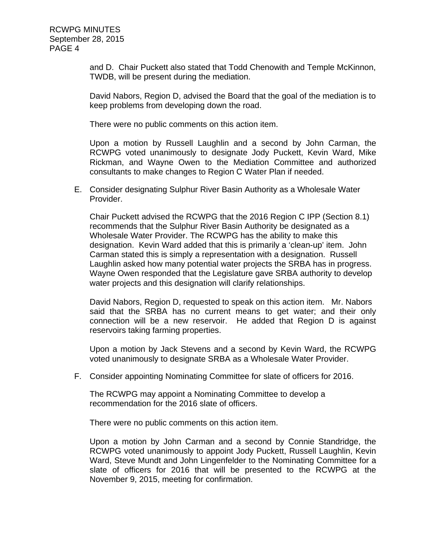and D. Chair Puckett also stated that Todd Chenowith and Temple McKinnon, TWDB, will be present during the mediation.

David Nabors, Region D, advised the Board that the goal of the mediation is to keep problems from developing down the road.

There were no public comments on this action item.

Upon a motion by Russell Laughlin and a second by John Carman, the RCWPG voted unanimously to designate Jody Puckett, Kevin Ward, Mike Rickman, and Wayne Owen to the Mediation Committee and authorized consultants to make changes to Region C Water Plan if needed.

E. Consider designating Sulphur River Basin Authority as a Wholesale Water Provider.

Chair Puckett advised the RCWPG that the 2016 Region C IPP (Section 8.1) recommends that the Sulphur River Basin Authority be designated as a Wholesale Water Provider. The RCWPG has the ability to make this designation. Kevin Ward added that this is primarily a 'clean-up' item. John Carman stated this is simply a representation with a designation. Russell Laughlin asked how many potential water projects the SRBA has in progress. Wayne Owen responded that the Legislature gave SRBA authority to develop water projects and this designation will clarify relationships.

David Nabors, Region D, requested to speak on this action item. Mr. Nabors said that the SRBA has no current means to get water; and their only connection will be a new reservoir. He added that Region D is against reservoirs taking farming properties.

Upon a motion by Jack Stevens and a second by Kevin Ward, the RCWPG voted unanimously to designate SRBA as a Wholesale Water Provider.

F. Consider appointing Nominating Committee for slate of officers for 2016.

The RCWPG may appoint a Nominating Committee to develop a recommendation for the 2016 slate of officers.

There were no public comments on this action item.

Upon a motion by John Carman and a second by Connie Standridge, the RCWPG voted unanimously to appoint Jody Puckett, Russell Laughlin, Kevin Ward, Steve Mundt and John Lingenfelder to the Nominating Committee for a slate of officers for 2016 that will be presented to the RCWPG at the November 9, 2015, meeting for confirmation.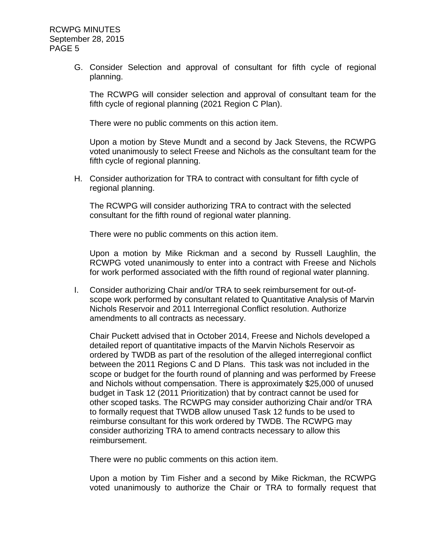> G. Consider Selection and approval of consultant for fifth cycle of regional planning.

The RCWPG will consider selection and approval of consultant team for the fifth cycle of regional planning (2021 Region C Plan).

There were no public comments on this action item.

Upon a motion by Steve Mundt and a second by Jack Stevens, the RCWPG voted unanimously to select Freese and Nichols as the consultant team for the fifth cycle of regional planning.

H. Consider authorization for TRA to contract with consultant for fifth cycle of regional planning.

The RCWPG will consider authorizing TRA to contract with the selected consultant for the fifth round of regional water planning.

There were no public comments on this action item.

Upon a motion by Mike Rickman and a second by Russell Laughlin, the RCWPG voted unanimously to enter into a contract with Freese and Nichols for work performed associated with the fifth round of regional water planning.

I. Consider authorizing Chair and/or TRA to seek reimbursement for out-ofscope work performed by consultant related to Quantitative Analysis of Marvin Nichols Reservoir and 2011 Interregional Conflict resolution. Authorize amendments to all contracts as necessary.

Chair Puckett advised that in October 2014, Freese and Nichols developed a detailed report of quantitative impacts of the Marvin Nichols Reservoir as ordered by TWDB as part of the resolution of the alleged interregional conflict between the 2011 Regions C and D Plans. This task was not included in the scope or budget for the fourth round of planning and was performed by Freese and Nichols without compensation. There is approximately \$25,000 of unused budget in Task 12 (2011 Prioritization) that by contract cannot be used for other scoped tasks. The RCWPG may consider authorizing Chair and/or TRA to formally request that TWDB allow unused Task 12 funds to be used to reimburse consultant for this work ordered by TWDB. The RCWPG may consider authorizing TRA to amend contracts necessary to allow this reimbursement.

There were no public comments on this action item.

Upon a motion by Tim Fisher and a second by Mike Rickman, the RCWPG voted unanimously to authorize the Chair or TRA to formally request that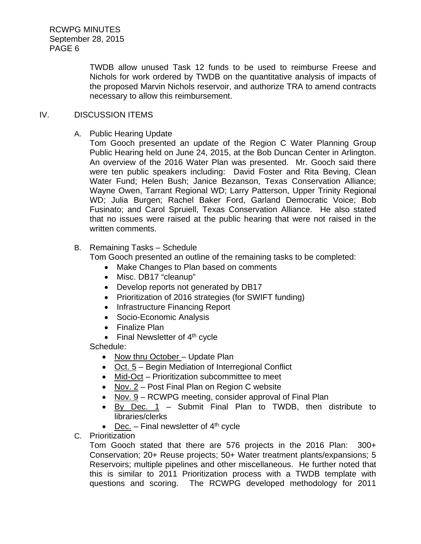> TWDB allow unused Task 12 funds to be used to reimburse Freese and Nichols for work ordered by TWDB on the quantitative analysis of impacts of the proposed Marvin Nichols reservoir, and authorize TRA to amend contracts necessary to allow this reimbursement.

### IV. DISCUSSION ITEMS

A. Public Hearing Update

Tom Gooch presented an update of the Region C Water Planning Group Public Hearing held on June 24, 2015, at the Bob Duncan Center in Arlington. An overview of the 2016 Water Plan was presented. Mr. Gooch said there were ten public speakers including: David Foster and Rita Beving, Clean Water Fund; Helen Bush; Janice Bezanson, Texas Conservation Alliance; Wayne Owen, Tarrant Regional WD; Larry Patterson, Upper Trinity Regional WD; Julia Burgen; Rachel Baker Ford, Garland Democratic Voice; Bob Fusinato; and Carol Spruiell, Texas Conservation Alliance. He also stated that no issues were raised at the public hearing that were not raised in the written comments.

B. Remaining Tasks – Schedule

Tom Gooch presented an outline of the remaining tasks to be completed:

- Make Changes to Plan based on comments
- Misc. DB17 "cleanup"
- Develop reports not generated by DB17
- Prioritization of 2016 strategies (for SWIFT funding)
- Infrastructure Financing Report
- Socio-Economic Analysis
- Finalize Plan
- Final Newsletter of  $4<sup>th</sup>$  cycle

Schedule:

- Now thru October Update Plan
- Oct. 5 Begin Mediation of Interregional Conflict
- Mid-Oct Prioritization subcommittee to meet
- Nov. 2 Post Final Plan on Region C website
- Nov. 9 RCWPG meeting, consider approval of Final Plan
- By Dec. 1 Submit Final Plan to TWDB, then distribute to libraries/clerks
- Dec. Final newsletter of  $4<sup>th</sup>$  cycle
- C. Prioritization

Tom Gooch stated that there are 576 projects in the 2016 Plan: 300+ Conservation; 20+ Reuse projects; 50+ Water treatment plants/expansions; 5 Reservoirs; multiple pipelines and other miscellaneous. He further noted that this is similar to 2011 Prioritization process with a TWDB template with questions and scoring. The RCWPG developed methodology for 2011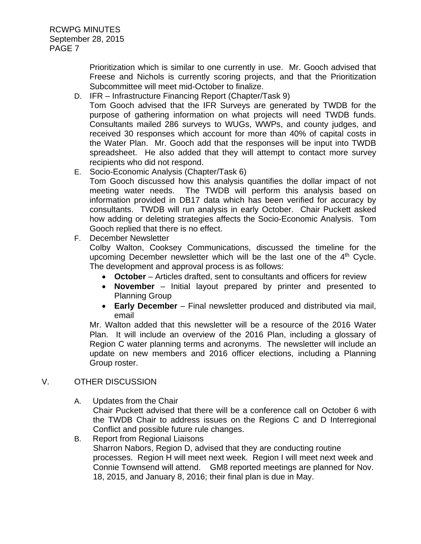Prioritization which is similar to one currently in use. Mr. Gooch advised that Freese and Nichols is currently scoring projects, and that the Prioritization Subcommittee will meet mid-October to finalize.

D. IFR – Infrastructure Financing Report (Chapter/Task 9)

Tom Gooch advised that the IFR Surveys are generated by TWDB for the purpose of gathering information on what projects will need TWDB funds. Consultants mailed 286 surveys to WUGs, WWPs, and county judges, and received 30 responses which account for more than 40% of capital costs in the Water Plan. Mr. Gooch add that the responses will be input into TWDB spreadsheet. He also added that they will attempt to contact more survey recipients who did not respond.

E. Socio-Economic Analysis (Chapter/Task 6)

Tom Gooch discussed how this analysis quantifies the dollar impact of not meeting water needs. The TWDB will perform this analysis based on information provided in DB17 data which has been verified for accuracy by consultants. TWDB will run analysis in early October. Chair Puckett asked how adding or deleting strategies affects the Socio-Economic Analysis. Tom Gooch replied that there is no effect.

F. December Newsletter

Colby Walton, Cooksey Communications, discussed the timeline for the upcoming December newsletter which will be the last one of the  $4<sup>th</sup>$  Cycle. The development and approval process is as follows:

- **October**  Articles drafted, sent to consultants and officers for review
- **November** Initial layout prepared by printer and presented to Planning Group
- **Early December** Final newsletter produced and distributed via mail, email

Mr. Walton added that this newsletter will be a resource of the 2016 Water Plan. It will include an overview of the 2016 Plan, including a glossary of Region C water planning terms and acronyms. The newsletter will include an update on new members and 2016 officer elections, including a Planning Group roster.

# V. OTHER DISCUSSION

- A. Updates from the Chair Chair Puckett advised that there will be a conference call on October 6 with the TWDB Chair to address issues on the Regions C and D Interregional Conflict and possible future rule changes.
- B. Report from Regional Liaisons Sharron Nabors, Region D, advised that they are conducting routine processes. Region H will meet next week. Region I will meet next week and Connie Townsend will attend. GM8 reported meetings are planned for Nov. 18, 2015, and January 8, 2016; their final plan is due in May.